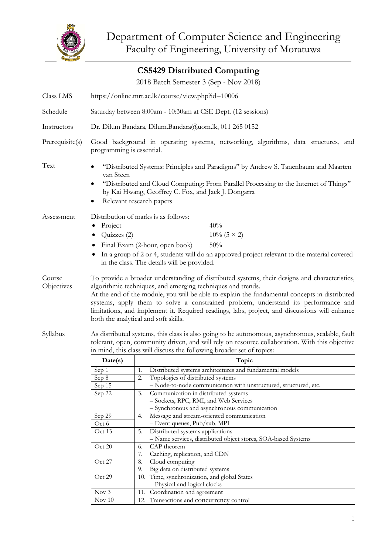

|                      |                                                                                                                                                                                                                                                                                                                                                                                                                                                                                              | <b>CS5429 Distributed Computing</b>                                             |  |
|----------------------|----------------------------------------------------------------------------------------------------------------------------------------------------------------------------------------------------------------------------------------------------------------------------------------------------------------------------------------------------------------------------------------------------------------------------------------------------------------------------------------------|---------------------------------------------------------------------------------|--|
|                      |                                                                                                                                                                                                                                                                                                                                                                                                                                                                                              | 2018 Batch Semester 3 (Sep - Nov 2018)                                          |  |
| Class LMS            | https://online.mrt.ac.lk/course/view.php?id=10006                                                                                                                                                                                                                                                                                                                                                                                                                                            |                                                                                 |  |
| Schedule             | Saturday between 8:00am - 10:30am at CSE Dept. (12 sessions)                                                                                                                                                                                                                                                                                                                                                                                                                                 |                                                                                 |  |
| Instructors          | Dr. Dilum Bandara, Dilum.Bandara@uom.lk, 011 265 0152                                                                                                                                                                                                                                                                                                                                                                                                                                        |                                                                                 |  |
| Prerequisite(s)      | Good background in operating systems, networking, algorithms, data structures, and<br>programming is essential.                                                                                                                                                                                                                                                                                                                                                                              |                                                                                 |  |
| Text                 | "Distributed Systems: Principles and Paradigms" by Andrew S. Tanenbaum and Maarten<br>van Steen<br>"Distributed and Cloud Computing: From Parallel Processing to the Internet of Things"<br>by Kai Hwang, Geoffrey C. Fox, and Jack J. Dongarra<br>Relevant research papers                                                                                                                                                                                                                  |                                                                                 |  |
| Assessment           | Distribution of marks is as follows:<br>Project<br>40%<br>$10\%$ (5 × 2)<br>Quizzes (2)<br>50%<br>Final Exam (2-hour, open book)<br>In a group of 2 or 4, students will do an approved project relevant to the material covered<br>in the class. The details will be provided.                                                                                                                                                                                                               |                                                                                 |  |
| Course<br>Objectives | To provide a broader understanding of distributed systems, their designs and characteristics,<br>algorithmic techniques, and emerging techniques and trends.<br>At the end of the module, you will be able to explain the fundamental concepts in distributed<br>systems, apply them to solve a constrained problem, understand its performance and<br>limitations, and implement it. Required readings, labs, project, and discussions will enhance<br>both the analytical and soft skills. |                                                                                 |  |
| Syllabus             | As distributed systems, this class is also going to be autonomous, asynchronous, scalable, fault<br>tolerant, open, community driven, and will rely on resource collaboration. With this objective<br>in mind, this class will discuss the following broader set of topics:                                                                                                                                                                                                                  |                                                                                 |  |
|                      | Date(s)                                                                                                                                                                                                                                                                                                                                                                                                                                                                                      | Topic                                                                           |  |
|                      | Sep 1                                                                                                                                                                                                                                                                                                                                                                                                                                                                                        | Distributed systems architectures and fundamental models<br>1.                  |  |
|                      | Sep 8                                                                                                                                                                                                                                                                                                                                                                                                                                                                                        | 2.<br>Topologies of distributed systems                                         |  |
|                      | Sep 15                                                                                                                                                                                                                                                                                                                                                                                                                                                                                       | - Node-to-node communication with unstructured, structured, etc.                |  |
|                      | Sep 22                                                                                                                                                                                                                                                                                                                                                                                                                                                                                       | Communication in distributed systems<br>3.                                      |  |
|                      |                                                                                                                                                                                                                                                                                                                                                                                                                                                                                              | - Sockets, RPC, RMI, and Web Services                                           |  |
|                      |                                                                                                                                                                                                                                                                                                                                                                                                                                                                                              | - Synchronous and asynchronous communication                                    |  |
|                      | Sep 29<br>Oct 6                                                                                                                                                                                                                                                                                                                                                                                                                                                                              | Message and stream-oriented communication<br>4.<br>- Event queues, Pub/sub, MPI |  |
|                      | Oct 13                                                                                                                                                                                                                                                                                                                                                                                                                                                                                       | 5.<br>Distributed systems applications                                          |  |
|                      |                                                                                                                                                                                                                                                                                                                                                                                                                                                                                              | - Name services, distributed object stores, SOA-based Systems                   |  |
|                      | Oct 20                                                                                                                                                                                                                                                                                                                                                                                                                                                                                       | CAP theorem<br>6.                                                               |  |
|                      |                                                                                                                                                                                                                                                                                                                                                                                                                                                                                              | 7.<br>Caching, replication, and CDN                                             |  |
|                      | Oct 27                                                                                                                                                                                                                                                                                                                                                                                                                                                                                       | 8.<br>Cloud computing                                                           |  |
|                      |                                                                                                                                                                                                                                                                                                                                                                                                                                                                                              | Big data on distributed systems<br>9.                                           |  |
|                      | Oct 29                                                                                                                                                                                                                                                                                                                                                                                                                                                                                       | 10. Time, synchronization, and global States                                    |  |
|                      |                                                                                                                                                                                                                                                                                                                                                                                                                                                                                              | - Physical and logical clocks                                                   |  |
|                      | Now 3                                                                                                                                                                                                                                                                                                                                                                                                                                                                                        | 11. Coordination and agreement                                                  |  |
|                      | Nov $10$                                                                                                                                                                                                                                                                                                                                                                                                                                                                                     | 12. Transactions and concurrency control                                        |  |

12. Transactions and concurrency control